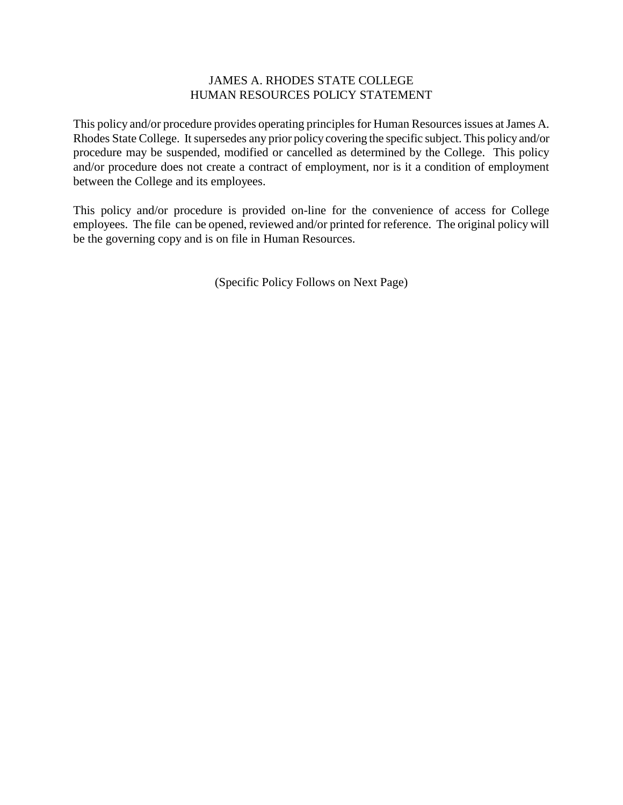# JAMES A. RHODES STATE COLLEGE HUMAN RESOURCES POLICY STATEMENT

This policy and/or procedure provides operating principles for Human Resources issues at James A. Rhodes State College. It supersedes any prior policy covering the specific subject. This policy and/or procedure may be suspended, modified or cancelled as determined by the College. This policy and/or procedure does not create a contract of employment, nor is it a condition of employment between the College and its employees.

This policy and/or procedure is provided on-line for the convenience of access for College employees. The file can be opened, reviewed and/or printed for reference. The original policy will be the governing copy and is on file in Human Resources.

(Specific Policy Follows on Next Page)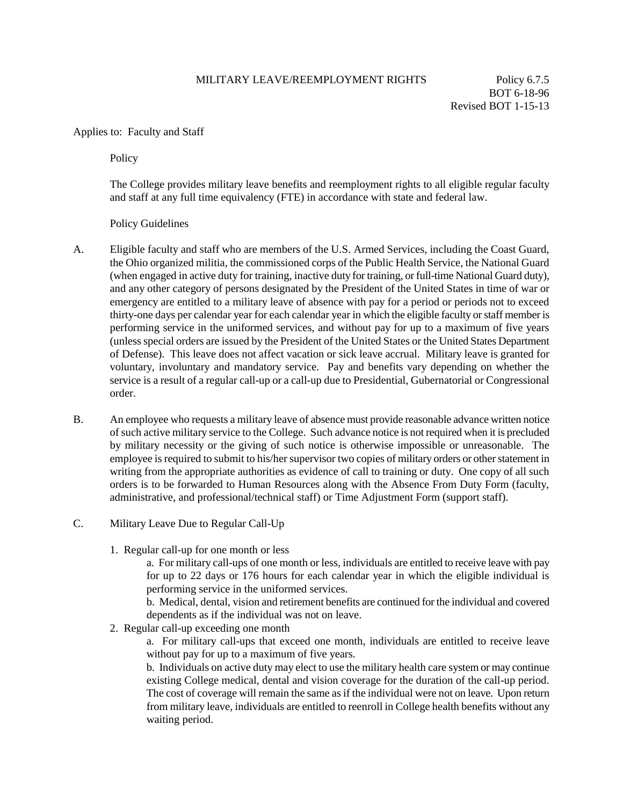### MILITARY LEAVE/REEMPLOYMENT RIGHTS Policy 6.7.5

BOT 6-18-96 Revised BOT 1-15-13

#### Applies to: Faculty and Staff

**Policy** 

The College provides military leave benefits and reemployment rights to all eligible regular faculty and staff at any full time equivalency (FTE) in accordance with state and federal law.

Policy Guidelines

- A. Eligible faculty and staff who are members of the U.S. Armed Services, including the Coast Guard, the Ohio organized militia, the commissioned corps of the Public Health Service, the National Guard (when engaged in active duty for training, inactive duty for training, or full-time National Guard duty), and any other category of persons designated by the President of the United States in time of war or emergency are entitled to a military leave of absence with pay for a period or periods not to exceed thirty-one days per calendar year for each calendar year in which the eligible faculty or staff member is performing service in the uniformed services, and without pay for up to a maximum of five years (unless special orders are issued by the President of the United States or the United States Department of Defense). This leave does not affect vacation or sick leave accrual. Military leave is granted for voluntary, involuntary and mandatory service. Pay and benefits vary depending on whether the service is a result of a regular call-up or a call-up due to Presidential, Gubernatorial or Congressional order.
- B. An employee who requests a military leave of absence must provide reasonable advance written notice of such active military service to the College. Such advance notice is not required when it is precluded by military necessity or the giving of such notice is otherwise impossible or unreasonable. The employee is required to submit to his/her supervisor two copies of military orders or other statement in writing from the appropriate authorities as evidence of call to training or duty. One copy of all such orders is to be forwarded to Human Resources along with the Absence From Duty Form (faculty, administrative, and professional/technical staff) or Time Adjustment Form (support staff).
- C. Military Leave Due to Regular Call-Up
	- 1. Regular call-up for one month or less

a. For military call-ups of one month or less, individuals are entitled to receive leave with pay for up to 22 days or 176 hours for each calendar year in which the eligible individual is performing service in the uniformed services.

b. Medical, dental, vision and retirement benefits are continued for the individual and covered dependents as if the individual was not on leave.

2. Regular call-up exceeding one month

a. For military call-ups that exceed one month, individuals are entitled to receive leave without pay for up to a maximum of five years.

b. Individuals on active duty may elect to use the military health care system or may continue existing College medical, dental and vision coverage for the duration of the call-up period. The cost of coverage will remain the same as if the individual were not on leave. Upon return from military leave, individuals are entitled to reenroll in College health benefits without any waiting period.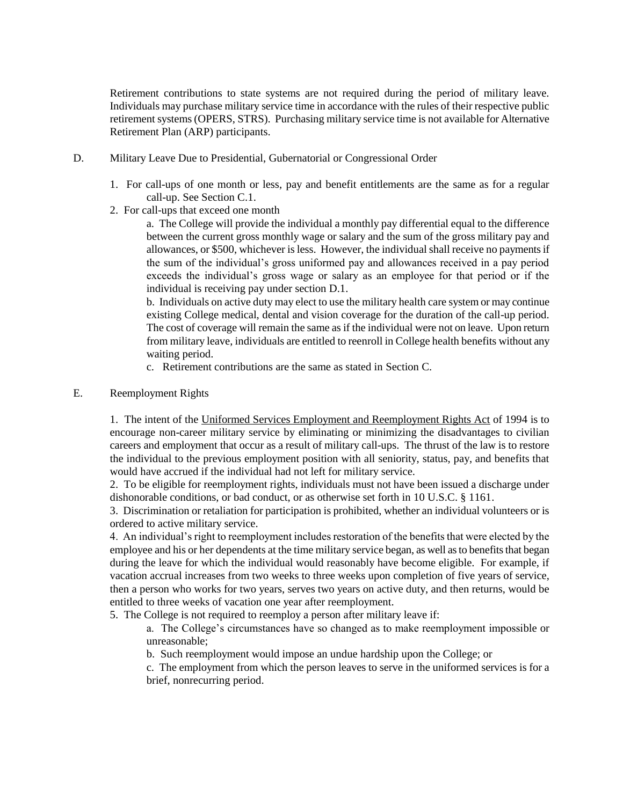Retirement contributions to state systems are not required during the period of military leave. Individuals may purchase military service time in accordance with the rules of their respective public retirement systems (OPERS, STRS). Purchasing military service time is not available for Alternative Retirement Plan (ARP) participants.

- D. Military Leave Due to Presidential, Gubernatorial or Congressional Order
	- 1. For call-ups of one month or less, pay and benefit entitlements are the same as for a regular call-up. See Section C.1.
	- 2. For call-ups that exceed one month

a. The College will provide the individual a monthly pay differential equal to the difference between the current gross monthly wage or salary and the sum of the gross military pay and allowances, or \$500, whichever is less. However, the individual shall receive no payments if the sum of the individual's gross uniformed pay and allowances received in a pay period exceeds the individual's gross wage or salary as an employee for that period or if the individual is receiving pay under section D.1.

b. Individuals on active duty may elect to use the military health care system or may continue existing College medical, dental and vision coverage for the duration of the call-up period. The cost of coverage will remain the same as if the individual were not on leave. Upon return from military leave, individuals are entitled to reenroll in College health benefits without any waiting period.

c. Retirement contributions are the same as stated in Section C.

## E. Reemployment Rights

1. The intent of the Uniformed Services Employment and Reemployment Rights Act of 1994 is to encourage non-career military service by eliminating or minimizing the disadvantages to civilian careers and employment that occur as a result of military call-ups. The thrust of the law is to restore the individual to the previous employment position with all seniority, status, pay, and benefits that would have accrued if the individual had not left for military service.

2. To be eligible for reemployment rights, individuals must not have been issued a discharge under dishonorable conditions, or bad conduct, or as otherwise set forth in 10 U.S.C. § 1161.

3. Discrimination or retaliation for participation is prohibited, whether an individual volunteers or is ordered to active military service.

4. An individual's right to reemployment includes restoration of the benefits that were elected by the employee and his or her dependents at the time military service began, as well as to benefits that began during the leave for which the individual would reasonably have become eligible. For example, if vacation accrual increases from two weeks to three weeks upon completion of five years of service, then a person who works for two years, serves two years on active duty, and then returns, would be entitled to three weeks of vacation one year after reemployment.

5. The College is not required to reemploy a person after military leave if:

a. The College's circumstances have so changed as to make reemployment impossible or unreasonable;

b. Such reemployment would impose an undue hardship upon the College; or

c. The employment from which the person leaves to serve in the uniformed services is for a brief, nonrecurring period.